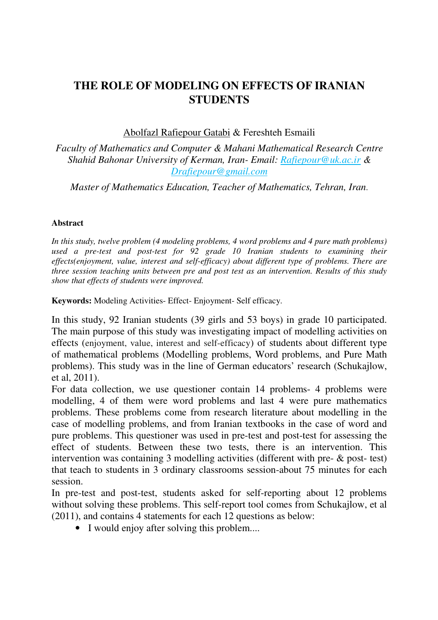## **THE ROLE OF MODELING ON EFFECTS OF IRANIAN STUDENTS**

Abolfazl Rafiepour Gatabi & Fereshteh Esmaili

*Faculty of Mathematics and Computer & Mahani Mathematical Research Centre Shahid Bahonar University of Kerman, Iran- Email: Rafiepour@uk.ac.ir & Drafiepour@gmail.com*

*Master of Mathematics Education, Teacher of Mathematics, Tehran, Iran*.

## **Abstract**

*In this study, twelve problem (4 modeling problems, 4 word problems and 4 pure math problems) used a pre-test and post-test for 92 grade 10 Iranian students to examining their effects(enjoyment, value, interest and self-efficacy) about different type of problems. There are three session teaching units between pre and post test as an intervention. Results of this study show that effects of students were improved.* 

**Keywords:** Modeling Activities- Effect- Enjoyment- Self efficacy.

In this study, 92 Iranian students (39 girls and 53 boys) in grade 10 participated. The main purpose of this study was investigating impact of modelling activities on effects (enjoyment, value, interest and self-efficacy) of students about different type of mathematical problems (Modelling problems, Word problems, and Pure Math problems). This study was in the line of German educators' research (Schukajlow, et al, 2011).

For data collection, we use questioner contain 14 problems- 4 problems were modelling, 4 of them were word problems and last 4 were pure mathematics problems. These problems come from research literature about modelling in the case of modelling problems, and from Iranian textbooks in the case of word and pure problems. This questioner was used in pre-test and post-test for assessing the effect of students. Between these two tests, there is an intervention. This intervention was containing 3 modelling activities (different with pre- & post- test) that teach to students in 3 ordinary classrooms session-about 75 minutes for each session.

In pre-test and post-test, students asked for self-reporting about 12 problems without solving these problems. This self-report tool comes from Schukajlow, et al (2011), and contains 4 statements for each 12 questions as below:

• I would enjoy after solving this problem....